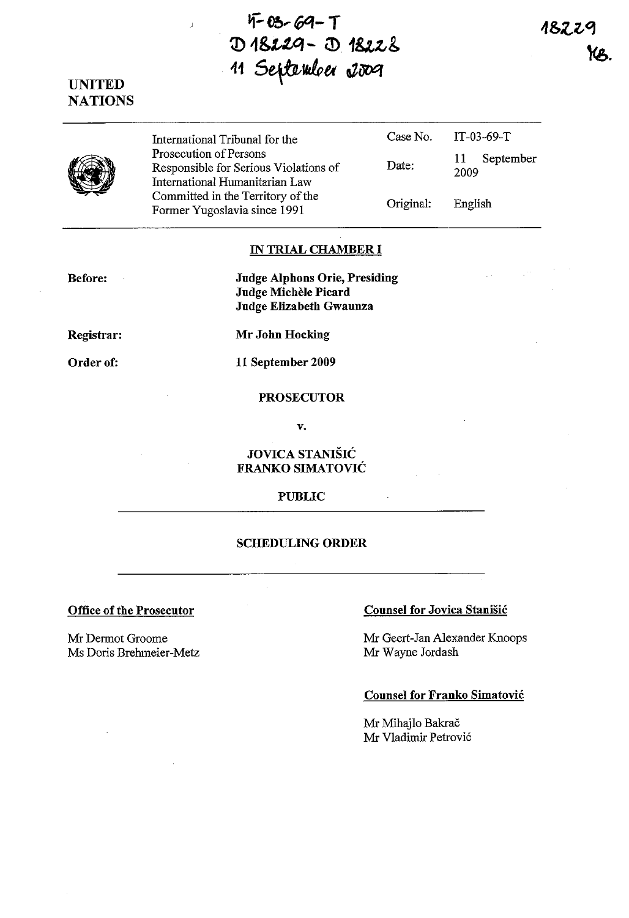$4-03-69-1$ <sup>~</sup>**1U.tGJ - m 18:,:.-& 41** S~vJe,tt *.ziJOq* 

# **UNITED NATIONS**

 $\overline{1}$ 

|  | International Tribunal for the                                                                    | Case No.  | IT-03-69-T        |
|--|---------------------------------------------------------------------------------------------------|-----------|-------------------|
|  | Prosecution of Persons<br>Responsible for Serious Violations of<br>International Humanitarian Law | Date:     | September<br>2009 |
|  | Committed in the Territory of the<br>Former Yugoslavia since 1991                                 | Original: | English           |

# IN **TRIAL CHAMBER I**

**Before:**   $\mathbb{R}^2$  **Judge Alphons Orie, Presiding Judge Michele Picard Judge Elizabeth Gwaunza** 

**Registrar:** 

**Mr John Hocking** 

Order of:

**11 September 2009** 

#### **PROSECUTOR**

**v.** 

# **JOVICA STANIŠIĆ FRANKO SIMATOVIC**

## **PUBLIC**

# **SCHEDULING ORDER**

Mr Dermot Groome Ms Doris Brehmeier-Metz

# **Office of the Prosecutor Counsel for Jovica Stanisic**

Mr Geert-Jan Alexander Knoops Mr Wayne Jordash

## **Counsel for Franko Simatovic**

Mr Mihajlo Bakrač Mr Vladimir Petrovic 1822

 $\sim$   $\sim$ 

 $\Delta \sim 10^4$